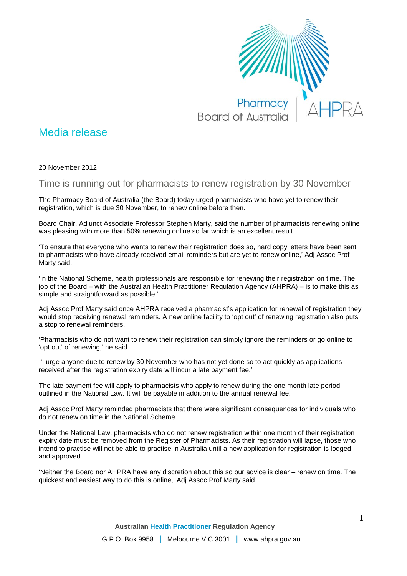

## Media release

20 November 2012

Time is running out for pharmacists to renew registration by 30 November

The Pharmacy Board of Australia (the Board) today urged pharmacists who have yet to renew their registration, which is due 30 November, to renew online before then.

Board Chair, Adjunct Associate Professor Stephen Marty, said the number of pharmacists renewing online was pleasing with more than 50% renewing online so far which is an excellent result.

'To ensure that everyone who wants to renew their registration does so, hard copy letters have been sent to pharmacists who have already received email reminders but are yet to renew online,' Adj Assoc Prof Marty said.

'In the National Scheme, health professionals are responsible for renewing their registration on time. The job of the Board – with the Australian Health Practitioner Regulation Agency (AHPRA) – is to make this as simple and straightforward as possible.'

Adj Assoc Prof Marty said once AHPRA received a pharmacist's application for renewal of registration they would stop receiving renewal reminders. A new online facility to 'opt out' of renewing registration also puts a stop to renewal reminders.

'Pharmacists who do not want to renew their registration can simply ignore the reminders or go online to 'opt out' of renewing,' he said.

'I urge anyone due to renew by 30 November who has not yet done so to act quickly as applications received after the registration expiry date will incur a late payment fee.'

The late payment fee will apply to pharmacists who apply to renew during the one month late period outlined in the National Law. It will be payable in addition to the annual renewal fee.

Adj Assoc Prof Marty reminded pharmacists that there were significant consequences for individuals who do not renew on time in the National Scheme.

Under the National Law, pharmacists who do not renew registration within one month of their registration expiry date must be removed from the Register of Pharmacists. As their registration will lapse, those who intend to practise will not be able to practise in Australia until a new application for registration is lodged and approved.

'Neither the Board nor AHPRA have any discretion about this so our advice is clear – renew on time. The quickest and easiest way to do this is online,' Adj Assoc Prof Marty said.